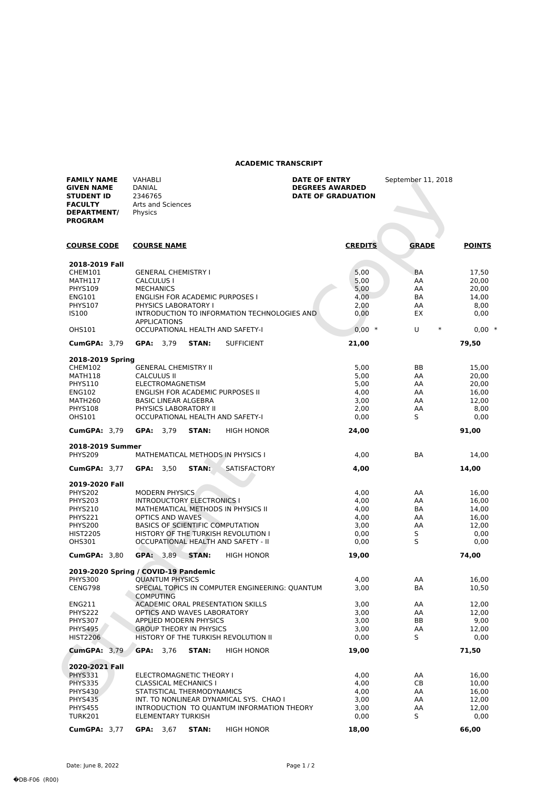## **ACADEMIC TRANSCRIPT**

| <b>FAMILY NAME</b><br><b>GIVEN NAME</b><br><b>STUDENT ID</b><br><b>FACULTY</b><br><b>DEPARTMENT/</b><br><b>PROGRAM</b> | <b>VAHABLI</b><br>DANIAL<br>2346765<br>Arts and Sciences<br>Physics                   | DATE OF ENTRY<br><b>DEGREES AWARDED</b><br><b>DATE OF GRADUATION</b> | September 11, 2018 |                |
|------------------------------------------------------------------------------------------------------------------------|---------------------------------------------------------------------------------------|----------------------------------------------------------------------|--------------------|----------------|
| <b>COURSE CODE</b>                                                                                                     | <b>COURSE NAME</b>                                                                    | <b>CREDITS</b>                                                       | <b>GRADE</b>       | <b>POINTS</b>  |
| 2018-2019 Fall                                                                                                         |                                                                                       |                                                                      |                    |                |
| CHEM101                                                                                                                | <b>GENERAL CHEMISTRY I</b>                                                            | 5,00                                                                 | <b>BA</b>          | 17,50          |
| MATH117                                                                                                                | <b>CALCULUS I</b>                                                                     | 5,00                                                                 | AA                 | 20,00          |
| <b>PHYS109</b>                                                                                                         | <b>MECHANICS</b>                                                                      | 5,00                                                                 | AA                 | 20,00          |
| <b>ENG101</b>                                                                                                          | <b>ENGLISH FOR ACADEMIC PURPOSES I</b><br>PHYSICS LABORATORY I                        | 4,00                                                                 | <b>BA</b>          | 14,00          |
| <b>PHYS107</b><br><b>IS100</b>                                                                                         | INTRODUCTION TO INFORMATION TECHNOLOGIES AND<br><b>APPLICATIONS</b>                   | 2,00<br>0,00                                                         | AA<br>EX           | 8,00<br>0,00   |
| <b>OHS101</b>                                                                                                          | OCCUPATIONAL HEALTH AND SAFETY-I                                                      | $0,00*$                                                              | U<br>$\ast$        | $0,00*$        |
| <b>CumGPA: 3,79</b>                                                                                                    | GPA: 3,79<br>STAN:<br><b>SUFFICIENT</b>                                               | 21,00                                                                |                    | 79,50          |
| 2018-2019 Spring                                                                                                       |                                                                                       |                                                                      |                    |                |
| <b>CHEM102</b>                                                                                                         | <b>GENERAL CHEMISTRY II</b>                                                           | 5,00                                                                 | BB                 | 15,00          |
| MATH118                                                                                                                | <b>CALCULUS II</b>                                                                    | 5,00                                                                 | AA                 | 20,00          |
| <b>PHYS110</b>                                                                                                         | ELECTROMAGNETISM                                                                      | 5,00                                                                 | AA                 | 20,00          |
| <b>ENG102</b>                                                                                                          | ENGLISH FOR ACADEMIC PURPOSES II                                                      | 4,00                                                                 | AA                 | 16,00          |
| MATH260                                                                                                                | <b>BASIC LINEAR ALGEBRA</b>                                                           | 3,00                                                                 | AA                 | 12,00          |
| <b>PHYS108</b><br><b>OHS101</b>                                                                                        | PHYSICS LABORATORY II<br>OCCUPATIONAL HEALTH AND SAFETY-I                             | 2,00<br>0,00                                                         | AA<br>S            | 8,00<br>0,00   |
| <b>CumGPA: 3.79</b>                                                                                                    | GPA: 3,79<br><b>STAN:</b><br><b>HIGH HONOR</b>                                        | 24,00                                                                |                    | 91,00          |
|                                                                                                                        |                                                                                       |                                                                      |                    |                |
| 2018-2019 Summer<br><b>PHYS209</b>                                                                                     | MATHEMATICAL METHODS IN PHYSICS I                                                     | 4,00                                                                 | BA                 | 14,00          |
| <b>CumGPA: 3,77</b>                                                                                                    | GPA: 3,50<br>STAN:<br><b>SATISFACTORY</b>                                             | 4,00                                                                 |                    | 14,00          |
| 2019-2020 Fall                                                                                                         |                                                                                       |                                                                      |                    |                |
| <b>PHYS202</b>                                                                                                         | <b>MODERN PHYSICS</b>                                                                 | 4,00                                                                 | AA                 | 16,00          |
| <b>PHYS203</b>                                                                                                         | <b>INTRODUCTORY ELECTRONICS I</b>                                                     | 4,00                                                                 | AA                 | 16,00          |
| <b>PHYS210</b>                                                                                                         | MATHEMATICAL METHODS IN PHYSICS II                                                    | 4,00                                                                 | ВA                 | 14,00          |
| PHYS221                                                                                                                | OPTICS AND WAVES                                                                      | 4,00                                                                 | AA                 | 16,00          |
| PHYS200                                                                                                                | <b>BASICS OF SCIENTIFIC COMPUTATION</b>                                               | 3,00                                                                 | AA                 | 12,00          |
| <b>HIST2205</b><br><b>OHS301</b>                                                                                       | HISTORY OF THE TURKISH REVOLUTION I                                                   | 0,00                                                                 | S<br>S             | 0,00           |
|                                                                                                                        | OCCUPATIONAL HEALTH AND SAFETY - II                                                   | 0,00                                                                 |                    | 0,00           |
| <b>CumGPA: 3.80</b>                                                                                                    | GPA: 3.89<br>STAN:<br><b>HIGH HONOR</b>                                               | 19,00                                                                |                    | 74,00          |
| <b>PHYS300</b>                                                                                                         | 2019-2020 Spring / COVID-19 Pandemic<br><b>QUANTUM PHYSICS</b>                        | 4,00                                                                 | AA                 | 16,00          |
| CENG798                                                                                                                | SPECIAL TOPICS IN COMPUTER ENGINEERING: QUANTUM                                       | 3,00                                                                 | BA                 | 10,50          |
| ENG211                                                                                                                 | <b>COMPUTING</b><br><b>ACADEMIC ORAL PRESENTATION SKILLS</b>                          | 3,00                                                                 | AA                 | 12,00          |
| PHYS222                                                                                                                | OPTICS AND WAVES LABORATORY                                                           | 3,00                                                                 | AA                 | 12,00          |
| PHYS307                                                                                                                | <b>APPLIED MODERN PHYSICS</b>                                                         | 3,00                                                                 | BВ                 | 9,00           |
| <b>PHYS495</b>                                                                                                         | <b>GROUP THEORY IN PHYSICS</b>                                                        | 3,00                                                                 | AA                 | 12,00          |
| <b>HIST2206</b>                                                                                                        | HISTORY OF THE TURKISH REVOLUTION II                                                  | 0,00                                                                 | S                  | 0,00           |
| <b>CumGPA: 3,79</b>                                                                                                    | GPA: 3,76<br>STAN:<br><b>HIGH HONOR</b>                                               | 19,00                                                                |                    | 71,50          |
| 2020-2021 Fall                                                                                                         |                                                                                       |                                                                      |                    |                |
| PHYS331                                                                                                                | ELECTROMAGNETIC THEORY I                                                              | 4,00                                                                 | AA                 | 16,00          |
| <b>PHYS335</b>                                                                                                         | <b>CLASSICAL MECHANICS I</b>                                                          | 4,00                                                                 | CВ                 | 10,00          |
| <b>PHYS430</b>                                                                                                         | STATISTICAL THERMODYNAMICS                                                            | 4,00                                                                 | AA                 | 16,00          |
| <b>PHYS435</b><br><b>PHYS455</b>                                                                                       | INT. TO NONLINEAR DYNAMICAL SYS. CHAO I<br>INTRODUCTION TO QUANTUM INFORMATION THEORY | 3,00<br>3,00                                                         | AA<br>AA           | 12,00<br>12,00 |
| <b>TURK201</b>                                                                                                         | <b>ELEMENTARY TURKISH</b>                                                             | 0,00                                                                 | S                  | 0,00           |
| <b>CumGPA: 3,77</b>                                                                                                    | GPA: 3,67<br>STAN:<br><b>HIGH HONOR</b>                                               | 18,00                                                                |                    | 66,00          |
|                                                                                                                        |                                                                                       |                                                                      |                    |                |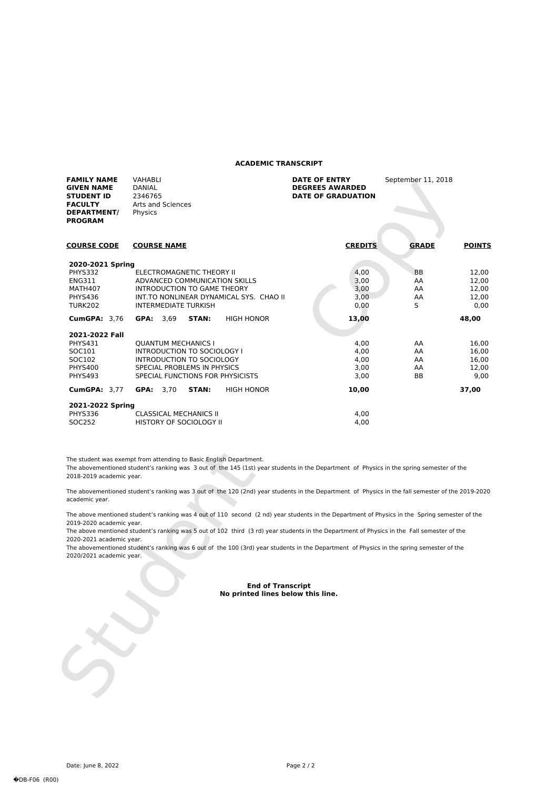## **ACADEMIC TRANSCRIPT**

| <b>FAMILY NAME</b><br><b>GIVEN NAME</b><br><b>STUDENT ID</b><br><b>FACULTY</b><br>DEPARTMENT/<br><b>PROGRAM</b> | <b>VAHABLI</b><br><b>DANIAL</b><br>2346765<br>Arts and Sciences<br>Physics                                                                                                        | <b>DATE OF ENTRY</b><br><b>DEGREES AWARDED</b><br><b>DATE OF GRADUATION</b> | September 11, 2018                          |                                          |
|-----------------------------------------------------------------------------------------------------------------|-----------------------------------------------------------------------------------------------------------------------------------------------------------------------------------|-----------------------------------------------------------------------------|---------------------------------------------|------------------------------------------|
| <b>COURSE CODE</b>                                                                                              | <b>COURSE NAME</b>                                                                                                                                                                | <b>CREDITS</b>                                                              | <b>GRADE</b>                                | <b>POINTS</b>                            |
| 2020-2021 Spring<br>PHYS332<br><b>ENG311</b><br>MATH407<br><b>PHYS436</b><br><b>TURK202</b>                     | <b>ELECTROMAGNETIC THEORY II</b><br>ADVANCED COMMUNICATION SKILLS<br><b>INTRODUCTION TO GAME THEORY</b><br>INT.TO NONLINEAR DYNAMICAL SYS. CHAO II<br><b>INTERMEDIATE TURKISH</b> | 4.00<br>3,00<br>3,00<br>3.00<br>0,00                                        | <b>BB</b><br>AA<br>AA<br>AA<br>$\mathsf{S}$ | 12,00<br>12,00<br>12,00<br>12,00<br>0.00 |
| <b>CumGPA: 3.76</b>                                                                                             | GPA: 3.69<br>STAN:<br><b>HIGH HONOR</b>                                                                                                                                           | 13,00                                                                       |                                             | 48,00                                    |
| 2021-2022 Fall<br>PHYS431<br>SOC101<br>SOC102<br><b>PHYS400</b><br>PHYS493                                      | <b>OUANTUM MECHANICS I</b><br>INTRODUCTION TO SOCIOLOGY I<br>INTRODUCTION TO SOCIOLOGY<br>SPECIAL PROBLEMS IN PHYSICS<br>SPECIAL FUNCTIONS FOR PHYSICISTS                         | 4.00<br>4.00<br>4.00<br>3.00<br>3.00                                        | AA<br>AA<br>AA<br>AA<br><b>BB</b>           | 16,00<br>16,00<br>16,00<br>12.00<br>9.00 |
| <b>CumGPA: 3.77</b>                                                                                             | STAN:<br><b>HIGH HONOR</b><br><b>GPA:</b> $3,70$                                                                                                                                  | 10,00                                                                       |                                             | 37,00                                    |
| 2021-2022 Spring<br>PHYS336<br>SOC252                                                                           | <b>CLASSICAL MECHANICS II</b><br><b>HISTORY OF SOCIOLOGY II</b>                                                                                                                   | 4.00<br>4.00                                                                |                                             |                                          |

The student was exempt from attending to Basic English Department.

The abovementioned student's ranking was 3 out of the 145 (1st) year students in the Department of Physics in the spring semester of the 2018-2019 academic year.

The abovementioned student's ranking was 3 out of the 120 (2nd) year students in the Department of Physics in the fall semester of the 2019-2020 academic year.

The above mentioned student's ranking was 4 out of 110 second (2 nd) year students in the Department of Physics in the Spring semester of the 2019-2020 academic year.

The above mentioned student's ranking was 5 out of 102 third (3 rd) year students in the Department of Physics in the Fall semester of the 2020-2021 academic year.

The student was exempt from attending to Basic English Department.<br>
The abovementioned student's ranking was 3 out of the 145 (1st) year<br>
2018-2019 academic year.<br>
The abovementioned student's ranking was 3 out of the 120 The abovementioned student's ranking was 6 out of the 100 (3rd) year students in the Department of Physics in the spring semester of the 2020/2021 academic year.

## **End of Transcript No printed lines below this line.**